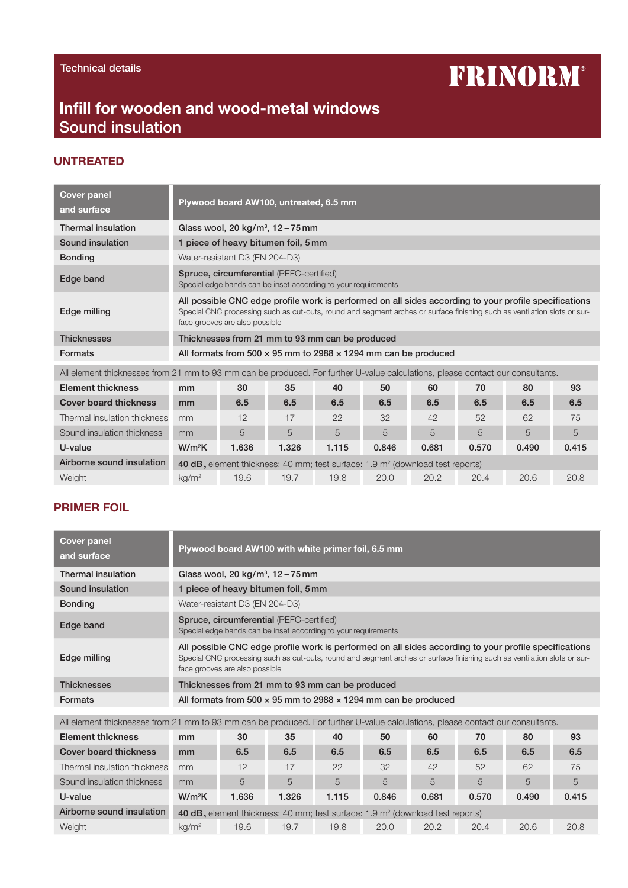# **FRINORM®**

## Infill for wooden and wood-metal windows Sound insulation

#### UNTREATED

| <b>Cover panel</b><br>and surface                                                                                              | Plywood board AW100, untreated, 6.5 mm                                                                                                                                                                                                                              |                                                                                                            |       |       |       |       |       |       |       |  |
|--------------------------------------------------------------------------------------------------------------------------------|---------------------------------------------------------------------------------------------------------------------------------------------------------------------------------------------------------------------------------------------------------------------|------------------------------------------------------------------------------------------------------------|-------|-------|-------|-------|-------|-------|-------|--|
| <b>Thermal insulation</b>                                                                                                      |                                                                                                                                                                                                                                                                     | Glass wool, 20 kg/m <sup>3</sup> , $12 - 75$ mm                                                            |       |       |       |       |       |       |       |  |
| Sound insulation                                                                                                               |                                                                                                                                                                                                                                                                     | 1 piece of heavy bitumen foil, 5 mm                                                                        |       |       |       |       |       |       |       |  |
| <b>Bonding</b>                                                                                                                 |                                                                                                                                                                                                                                                                     | Water-resistant D3 (EN 204-D3)                                                                             |       |       |       |       |       |       |       |  |
| Edge band                                                                                                                      |                                                                                                                                                                                                                                                                     | Spruce, circumferential (PEFC-certified)<br>Special edge bands can be inset according to your requirements |       |       |       |       |       |       |       |  |
| Edge milling                                                                                                                   | All possible CNC edge profile work is performed on all sides according to your profile specifications<br>Special CNC processing such as cut-outs, round and segment arches or surface finishing such as ventilation slots or sur-<br>face grooves are also possible |                                                                                                            |       |       |       |       |       |       |       |  |
| <b>Thicknesses</b>                                                                                                             | Thicknesses from 21 mm to 93 mm can be produced                                                                                                                                                                                                                     |                                                                                                            |       |       |       |       |       |       |       |  |
| <b>Formats</b>                                                                                                                 | All formats from 500 $\times$ 95 mm to 2988 $\times$ 1294 mm can be produced                                                                                                                                                                                        |                                                                                                            |       |       |       |       |       |       |       |  |
| All element thicknesses from 21 mm to 93 mm can be produced. For further U-value calculations, please contact our consultants. |                                                                                                                                                                                                                                                                     |                                                                                                            |       |       |       |       |       |       |       |  |
| <b>Element thickness</b>                                                                                                       | mm                                                                                                                                                                                                                                                                  | 30                                                                                                         | 35    | 40    | 50    | 60    | 70    | 80    | 93    |  |
| <b>Cover board thickness</b>                                                                                                   | mm                                                                                                                                                                                                                                                                  | 6.5                                                                                                        | 6.5   | 6.5   | 6.5   | 6.5   | 6.5   | 6.5   | 6.5   |  |
| Thermal insulation thickness                                                                                                   | mm                                                                                                                                                                                                                                                                  | 12                                                                                                         | 17    | 22    | 32    | 42    | 52    | 62    | 75    |  |
| Sound insulation thickness                                                                                                     | mm                                                                                                                                                                                                                                                                  | 5                                                                                                          | 5     | 5     | 5     | 5     | 5     | 5     | 5     |  |
| U-value                                                                                                                        | $W/m^2K$                                                                                                                                                                                                                                                            | 1.636                                                                                                      | 1.326 | 1.115 | 0.846 | 0.681 | 0.570 | 0.490 | 0.415 |  |
| Airborne sound insulation                                                                                                      | 40 dB, element thickness: 40 mm; test surface: 1.9 m <sup>2</sup> (download test reports)                                                                                                                                                                           |                                                                                                            |       |       |       |       |       |       |       |  |
| Weight                                                                                                                         | kg/m <sup>2</sup>                                                                                                                                                                                                                                                   | 19.6                                                                                                       | 19.7  | 19.8  | 20.0  | 20.2  | 20.4  | 20.6  | 20.8  |  |

### PRIMER FOIL

| <b>Cover panel</b><br>and surface | Plywood board AW100 with white primer foil, 6.5 mm                                                                                                                                                                                                                  |
|-----------------------------------|---------------------------------------------------------------------------------------------------------------------------------------------------------------------------------------------------------------------------------------------------------------------|
| Thermal insulation                | Glass wool, 20 kg/m <sup>3</sup> , $12 - 75$ mm                                                                                                                                                                                                                     |
| Sound insulation                  | 1 piece of heavy bitumen foil, 5 mm                                                                                                                                                                                                                                 |
| <b>Bonding</b>                    | Water-resistant D3 (EN 204-D3)                                                                                                                                                                                                                                      |
| Edge band                         | Spruce, circumferential (PEFC-certified)<br>Special edge bands can be inset according to your requirements                                                                                                                                                          |
| Edge milling                      | All possible CNC edge profile work is performed on all sides according to your profile specifications<br>Special CNC processing such as cut-outs, round and segment arches or surface finishing such as ventilation slots or sur-<br>face grooves are also possible |
| <b>Thicknesses</b>                | Thicknesses from 21 mm to 93 mm can be produced                                                                                                                                                                                                                     |
| <b>Formats</b>                    | All formats from 500 $\times$ 95 mm to 2988 $\times$ 1294 mm can be produced                                                                                                                                                                                        |

| All element thicknesses from 21 mm to 93 mm can be produced. For further U-value calculations, please contact our consultants. |                                                                                          |      |       |       |       |       |       |       |       |
|--------------------------------------------------------------------------------------------------------------------------------|------------------------------------------------------------------------------------------|------|-------|-------|-------|-------|-------|-------|-------|
| <b>Element thickness</b>                                                                                                       | mm                                                                                       | 30   | 35    | 40    | 50    | 60    | 70    | 80    | 93    |
| <b>Cover board thickness</b>                                                                                                   | mm                                                                                       | 6.5  | 6.5   | 6.5   | 6.5   | 6.5   | 6.5   | 6.5   | 6.5   |
| Thermal insulation thickness                                                                                                   | mm                                                                                       | 12   | 17    | 22    | 32    | 42    | 52    | 62    | 75    |
| Sound insulation thickness                                                                                                     | mm                                                                                       | 5    | 5     | 5     | 5     | 5     | 5     | 5     | 5     |
| U-value                                                                                                                        | $W/m^2K$                                                                                 | .636 | 1.326 | 1.115 | 0.846 | 0.681 | 0.570 | 0.490 | 0.415 |
| Airborne sound insulation                                                                                                      | 40 dB, element thickness: 40 mm; test surface: $1.9 \text{ m}^2$ (download test reports) |      |       |       |       |       |       |       |       |
| Weight                                                                                                                         | $kq/m^2$                                                                                 | 19.6 | 19.7  | 19.8  | 20.0  | 20.2  | 20.4  | 20.6  | 20.8  |